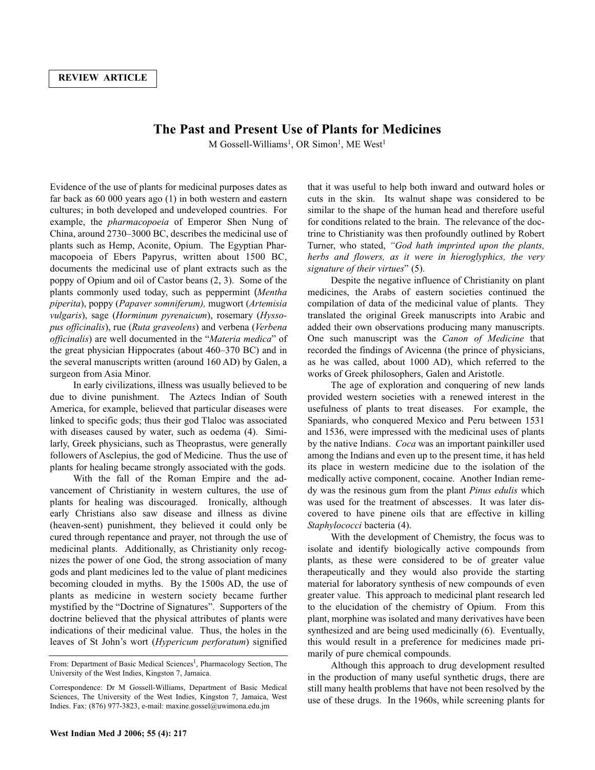## **The Past and Present Use of Plants for Medicines**

M Gossell-Williams<sup>1</sup>, OR Simon<sup>1</sup>, ME West<sup>1</sup>

Evidence of the use of plants for medicinal purposes dates as far back as 60 000 years ago (1) in both western and eastern cultures; in both developed and undeveloped countries. For example, the *pharmacopoeia* of Emperor Shen Nung of China, around 2730–3000 BC, describes the medicinal use of plants such as Hemp, Aconite, Opium. The Egyptian Pharmacopoeia of Ebers Papyrus, written about 1500 BC, documents the medicinal use of plant extracts such as the poppy of Opium and oil of Castor beans (2, 3). Some of the plants commonly used today, such as peppermint (*Mentha piperita*), poppy (*Papaver somniferum),* mugwort (*Artemisia vulgaris*), sage (*Horminum pyrenaicum*), rosemary (*Hyssopus officinalis*), rue (*Ruta graveolens*) and verbena (*Verbena officinalis*) are well documented in the "*Materia medica*" of the great physician Hippocrates (about 460–370 BC) and in the several manuscripts written (around 160 AD) by Galen, a surgeon from Asia Minor.

In early civilizations, illness was usually believed to be due to divine punishment. The Aztecs Indian of South America, for example, believed that particular diseases were linked to specific gods; thus their god Tlaloc was associated with diseases caused by water, such as oedema (4). Similarly, Greek physicians, such as Theoprastus, were generally followers of Asclepius, the god of Medicine. Thus the use of plants for healing became strongly associated with the gods.

With the fall of the Roman Empire and the advancement of Christianity in western cultures, the use of plants for healing was discouraged. Ironically, although early Christians also saw disease and illness as divine (heaven-sent) punishment, they believed it could only be cured through repentance and prayer, not through the use of medicinal plants. Additionally, as Christianity only recognizes the power of one God, the strong association of many gods and plant medicines led to the value of plant medicines becoming clouded in myths. By the 1500s AD, the use of plants as medicine in western society became further mystified by the "Doctrine of Signatures". Supporters of the doctrine believed that the physical attributes of plants were indications of their medicinal value. Thus, the holes in the leaves of St John's wort (*Hypericum perforatum*) signified

that it was useful to help both inward and outward holes or cuts in the skin. Its walnut shape was considered to be similar to the shape of the human head and therefore useful for conditions related to the brain. The relevance of the doctrine to Christianity was then profoundly outlined by Robert Turner, who stated, *"God hath imprinted upon the plants, herbs and flowers, as it were in hieroglyphics, the very signature of their virtues*" (5).

Despite the negative influence of Christianity on plant medicines, the Arabs of eastern societies continued the compilation of data of the medicinal value of plants. They translated the original Greek manuscripts into Arabic and added their own observations producing many manuscripts. One such manuscript was the *Canon of Medicine* that recorded the findings of Avicenna (the prince of physicians, as he was called, about 1000 AD), which referred to the works of Greek philosophers, Galen and Aristotle.

The age of exploration and conquering of new lands provided western societies with a renewed interest in the usefulness of plants to treat diseases. For example, the Spaniards, who conquered Mexico and Peru between 1531 and 1536, were impressed with the medicinal uses of plants by the native Indians. *Coca* was an important painkiller used among the Indians and even up to the present time, it has held its place in western medicine due to the isolation of the medically active component, cocaine. Another Indian remedy was the resinous gum from the plant *Pinus edulis* which was used for the treatment of abscesses. It was later discovered to have pinene oils that are effective in killing *Staphylococci* bacteria (4).

With the development of Chemistry, the focus was to isolate and identify biologically active compounds from plants, as these were considered to be of greater value therapeutically and they would also provide the starting material for laboratory synthesis of new compounds of even greater value. This approach to medicinal plant research led to the elucidation of the chemistry of Opium. From this plant, morphine was isolated and many derivatives have been synthesized and are being used medicinally (6). Eventually, this would result in a preference for medicines made primarily of pure chemical compounds.

Although this approach to drug development resulted in the production of many useful synthetic drugs, there are still many health problems that have not been resolved by the use of these drugs. In the 1960s, while screening plants for

From: Department of Basic Medical Sciences<sup>1</sup>, Pharmacology Section, The University of the West Indies, Kingston 7, Jamaica.

Correspondence: Dr M Gossell-Williams, Department of Basic Medical Sciences, The University of the West Indies, Kingston 7, Jamaica, West Indies. Fax: (876) 977-3823, e-mail: maxine.gossel@uwimona.edu.jm